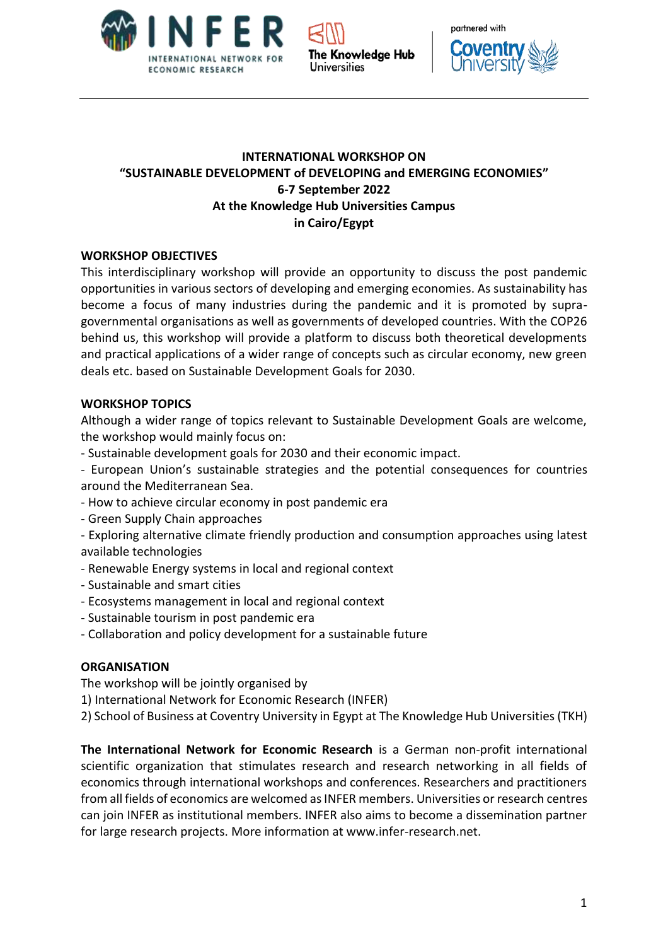





# **INTERNATIONAL WORKSHOP ON "SUSTAINABLE DEVELOPMENT of DEVELOPING and EMERGING ECONOMIES" 6-7 September 2022 At the Knowledge Hub Universities Campus in Cairo/Egypt**

## **WORKSHOP OBJECTIVES**

This interdisciplinary workshop will provide an opportunity to discuss the post pandemic opportunities in various sectors of developing and emerging economies. As sustainability has become a focus of many industries during the pandemic and it is promoted by supragovernmental organisations as well as governments of developed countries. With the COP26 behind us, this workshop will provide a platform to discuss both theoretical developments and practical applications of a wider range of concepts such as circular economy, new green deals etc. based on Sustainable Development Goals for 2030.

### **WORKSHOP TOPICS**

Although a wider range of topics relevant to Sustainable Development Goals are welcome, the workshop would mainly focus on:

- Sustainable development goals for 2030 and their economic impact.
- European Union's sustainable strategies and the potential consequences for countries around the Mediterranean Sea.
- How to achieve circular economy in post pandemic era
- Green Supply Chain approaches
- Exploring alternative climate friendly production and consumption approaches using latest available technologies
- Renewable Energy systems in local and regional context
- Sustainable and smart cities
- Ecosystems management in local and regional context
- Sustainable tourism in post pandemic era
- Collaboration and policy development for a sustainable future

## **ORGANISATION**

The workshop will be jointly organised by

- 1) International Network for Economic Research (INFER)
- 2) School of Business at Coventry University in Egypt at The Knowledge Hub Universities(TKH)

**The International Network for Economic Research** is a German non-profit international scientific organization that stimulates research and research networking in all fields of economics through international workshops and conferences. Researchers and practitioners from all fields of economics are welcomed as INFER members. Universities or research centres can join INFER as institutional members. INFER also aims to become a dissemination partner for large research projects. More information at www.infer-research.net.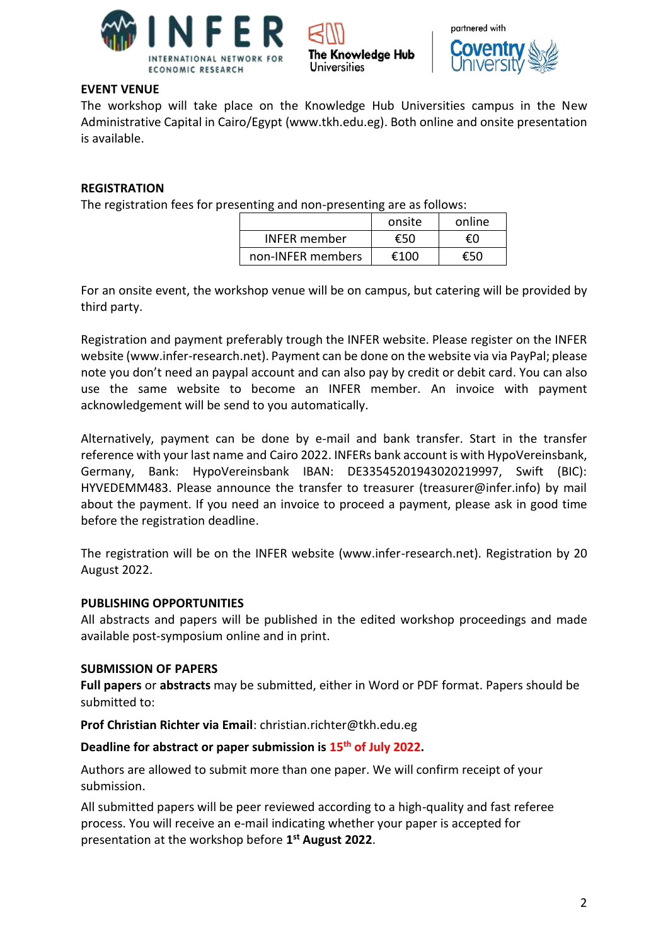



### **EVENT VENUE**

The workshop will take place on the Knowledge Hub Universities campus in the New Administrative Capital in Cairo/Egypt (www.tkh.edu.eg). Both online and onsite presentation is available.

Universities

The Knowledge Hub

### **REGISTRATION**

The registration fees for presenting and non-presenting are as follows:

|                     | onsite | online |
|---------------------|--------|--------|
| <b>INFER</b> member | €50    | ŧΩ     |
| non-INFER members   | £100   |        |

For an onsite event, the workshop venue will be on campus, but catering will be provided by third party.

Registration and payment preferably trough the INFER website. Please register on the INFER website (www.infer-research.net). Payment can be done on the website via via PayPal; please note you don't need an paypal account and can also pay by credit or debit card. You can also use the same website to become an INFER member. An invoice with payment acknowledgement will be send to you automatically.

Alternatively, payment can be done by e-mail and bank transfer. Start in the transfer reference with your last name and Cairo 2022. INFERs bank account is with HypoVereinsbank, Germany, Bank: HypoVereinsbank IBAN: DE33545201943020219997, Swift (BIC): HYVEDEMM483. Please announce the transfer to treasurer (treasurer@infer.info) by mail about the payment. If you need an invoice to proceed a payment, please ask in good time before the registration deadline.

The registration will be on the INFER website (www.infer-research.net). Registration by 20 August 2022.

#### **PUBLISHING OPPORTUNITIES**

All abstracts and papers will be published in the edited workshop proceedings and made available post-symposium online and in print.

#### **SUBMISSION OF PAPERS**

**Full papers** or **abstracts** may be submitted, either in Word or PDF format. Papers should be submitted to:

**Prof Christian Richter via Email**: christian.richter@tkh.edu.eg

#### **Deadline for abstract or paper submission is 15 th of July 2022.**

Authors are allowed to submit more than one paper. We will confirm receipt of your submission.

All submitted papers will be peer reviewed according to a high-quality and fast referee process. You will receive an e-mail indicating whether your paper is accepted for presentation at the workshop before **1 st August 2022**.